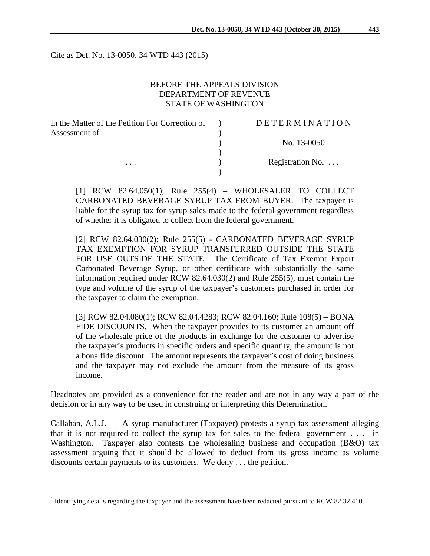Cite as Det. No. 13-0050, 34 WTD 443 (2015)

# BEFORE THE APPEALS DIVISION DEPARTMENT OF REVENUE STATE OF WASHINGTON

| In the Matter of the Petition For Correction of | <b>DETERMINATION</b>     |
|-------------------------------------------------|--------------------------|
| Assessment of                                   |                          |
|                                                 | No. 13-0050              |
|                                                 |                          |
| $\cdots$                                        | Registration No. $\dots$ |
|                                                 |                          |

[1] RCW 82.64.050(1); Rule 255(4) – WHOLESALER TO COLLECT CARBONATED BEVERAGE SYRUP TAX FROM BUYER. The taxpayer is liable for the syrup tax for syrup sales made to the federal government regardless of whether it is obligated to collect from the federal government.

[2] RCW 82.64.030(2); Rule 255(5) - CARBONATED BEVERAGE SYRUP TAX EXEMPTION FOR SYRUP TRANSFERRED OUTSIDE THE STATE FOR USE OUTSIDE THE STATE. The Certificate of Tax Exempt Export Carbonated Beverage Syrup, or other certificate with substantially the same information required under RCW 82.64.030(2) and Rule 255(5), must contain the type and volume of the syrup of the taxpayer's customers purchased in order for the taxpayer to claim the exemption.

[3] RCW 82.04.080(1); RCW 82.04.4283; RCW 82.04.160; Rule 108(5) – BONA FIDE DISCOUNTS. When the taxpayer provides to its customer an amount off of the wholesale price of the products in exchange for the customer to advertise the taxpayer's products in specific orders and specific quantity, the amount is not a bona fide discount. The amount represents the taxpayer's cost of doing business and the taxpayer may not exclude the amount from the measure of its gross income.

Headnotes are provided as a convenience for the reader and are not in any way a part of the decision or in any way to be used in construing or interpreting this Determination.

Callahan, A.L.J. – A syrup manufacturer (Taxpayer) protests a syrup tax assessment alleging that it is not required to collect the syrup tax for sales to the federal government . . . in Washington. Taxpayer also contests the wholesaling business and occupation (B&O) tax assessment arguing that it should be allowed to deduct from its gross income as volume discounts certain payments to its customers. We deny  $\dots$  the petition.<sup>[1](#page-0-0)</sup>

<span id="page-0-0"></span><sup>&</sup>lt;sup>1</sup> Identifying details regarding the taxpayer and the assessment have been redacted pursuant to RCW 82.32.410.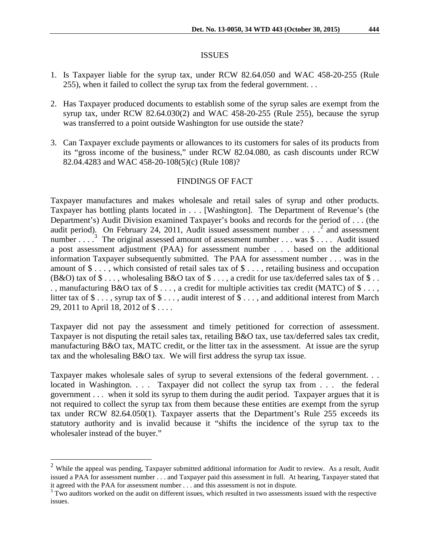#### ISSUES

- 1. Is Taxpayer liable for the syrup tax, under RCW 82.64.050 and WAC 458-20-255 (Rule 255), when it failed to collect the syrup tax from the federal government. . .
- 2. Has Taxpayer produced documents to establish some of the syrup sales are exempt from the syrup tax, under RCW  $82.64.030(2)$  and WAC  $458-20-255$  (Rule 255), because the syrup was transferred to a point outside Washington for use outside the state?
- 3. Can Taxpayer exclude payments or allowances to its customers for sales of its products from its "gross income of the business," under RCW 82.04.080, as cash discounts under RCW 82.04.4283 and WAC 458-20-108(5)(c) (Rule 108)?

### FINDINGS OF FACT

Taxpayer manufactures and makes wholesale and retail sales of syrup and other products. Taxpayer has bottling plants located in . . . [Washington]. The Department of Revenue's (the Department's) Audit Division examined Taxpayer's books and records for the period of . . . (the audit period). On February [2](#page-1-0)4, 2011, Audit issued assessment number  $\ldots$   $\frac{1}{2}$  and assessment number . . .  $\cdot$ <sup>[3](#page-1-1)</sup> The original assessed amount of assessment number . . . was \$ . . . . Audit issued a post assessment adjustment (PAA) for assessment number . . . based on the additional information Taxpayer subsequently submitted. The PAA for assessment number . . . was in the amount of \$ . . . , which consisted of retail sales tax of \$ . . . , retailing business and occupation (B&O) tax of  $\$\dots$ , wholesaling B&O tax of  $\$\dots$ , a credit for use tax/deferred sales tax of  $\$\dots$ ., manufacturing B&O tax of \$..., a credit for multiple activities tax credit (MATC) of \$..., litter tax of  $\$\ldots$ , syrup tax of  $\$\ldots$ , audit interest of  $\$\ldots$ , and additional interest from March 29, 2011 to April 18, 2012 of \$ . . . .

Taxpayer did not pay the assessment and timely petitioned for correction of assessment. Taxpayer is not disputing the retail sales tax, retailing B&O tax, use tax/deferred sales tax credit, manufacturing B&O tax, MATC credit, or the litter tax in the assessment. At issue are the syrup tax and the wholesaling B&O tax. We will first address the syrup tax issue.

Taxpayer makes wholesale sales of syrup to several extensions of the federal government. . . located in Washington. . . . Taxpayer did not collect the syrup tax from . . . the federal government . . . when it sold its syrup to them during the audit period. Taxpayer argues that it is not required to collect the syrup tax from them because these entities are exempt from the syrup tax under RCW 82.64.050(1). Taxpayer asserts that the Department's Rule 255 exceeds its statutory authority and is invalid because it "shifts the incidence of the syrup tax to the wholesaler instead of the buyer."

<span id="page-1-0"></span><sup>&</sup>lt;sup>2</sup> While the appeal was pending, Taxpayer submitted additional information for Audit to review. As a result, Audit issued a PAA for assessment number . . . and Taxpayer paid this assessment in full. At hearing, Taxpayer stated that it agreed with the PAA for assessment number . . . and this assessment is not in dispute.<br><sup>3</sup> Two auditors worked on the audit on different issues, which resulted in two assessments issued with the respective

<span id="page-1-1"></span>issues.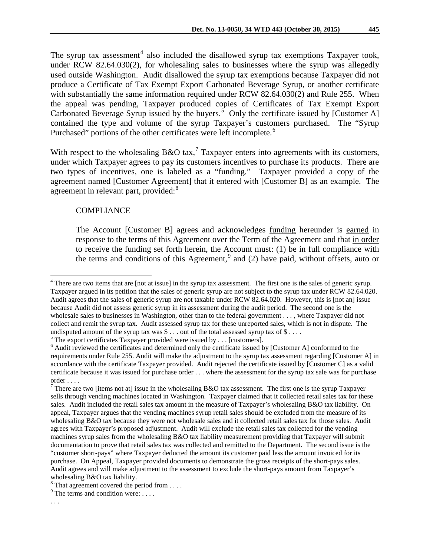The syrup tax assessment<sup>[4](#page-2-0)</sup> also included the disallowed syrup tax exemptions Taxpayer took, under RCW 82.64.030(2), for wholesaling sales to businesses where the syrup was allegedly used outside Washington. Audit disallowed the syrup tax exemptions because Taxpayer did not produce a Certificate of Tax Exempt Export Carbonated Beverage Syrup, or another certificate with substantially the same information required under RCW 82.64.030(2) and Rule 255. When the appeal was pending, Taxpayer produced copies of Certificates of Tax Exempt Export Carbonated Beverage Syrup issued by the buyers.<sup>[5](#page-2-1)</sup> Only the certificate issued by [Customer A] contained the type and volume of the syrup Taxpayer's customers purchased. The "Syrup Purchased" portions of the other certificates were left incomplete.<sup>[6](#page-2-2)</sup>

With respect to the wholesaling B&O tax,<sup>[7](#page-2-3)</sup> Taxpayer enters into agreements with its customers, under which Taxpayer agrees to pay its customers incentives to purchase its products. There are two types of incentives, one is labeled as a "funding." Taxpayer provided a copy of the agreement named [Customer Agreement] that it entered with [Customer B] as an example. The agreement in relevant part, provided:<sup>[8](#page-2-4)</sup>

#### **COMPLIANCE**

The Account [Customer B] agrees and acknowledges funding hereunder is earned in response to the terms of this Agreement over the Term of the Agreement and that in order to receive the funding set forth herein, the Account must: (1) be in full compliance with the terms and conditions of this Agreement,  $9$  and (2) have paid, without offsets, auto or

<span id="page-2-1"></span>

<span id="page-2-0"></span><sup>&</sup>lt;sup>4</sup> There are two items that are [not at issue] in the syrup tax assessment. The first one is the sales of generic syrup. Taxpayer argued in its petition that the sales of generic syrup are not subject to the syrup tax under RCW 82.64.020. Audit agrees that the sales of generic syrup are not taxable under RCW 82.64.020. However, this is [not an] issue because Audit did not assess generic syrup in its assessment during the audit period. The second one is the wholesale sales to businesses in Washington, other than to the federal government . . . , where Taxpayer did not collect and remit the syrup tax. Audit assessed syrup tax for these unreported sales, which is not in dispute. The undisputed amount of the syrup tax was  $\$\dots$  out of the total assessed syrup tax of  $\$\dots$ .<br><sup>5</sup> The export certificates Taxpayer provided were issued by ... [customers].<br><sup>6</sup> Audit reviewed the certificates and determined o

<span id="page-2-2"></span>requirements under Rule 255. Audit will make the adjustment to the syrup tax assessment regarding [Customer A] in accordance with the certificate Taxpayer provided. Audit rejected the certificate issued by [Customer C] as a valid certificate because it was issued for purchase order . . . where the assessment for the syrup tax sale was for purchase order ....<br><sup>7</sup> There are two [items not at] issue in the wholesaling B&O tax assessment. The first one is the syrup Taxpayer

<span id="page-2-3"></span>sells through vending machines located in Washington. Taxpayer claimed that it collected retail sales tax for these sales. Audit included the retail sales tax amount in the measure of Taxpayer's wholesaling B&O tax liability. On appeal, Taxpayer argues that the vending machines syrup retail sales should be excluded from the measure of its wholesaling B&O tax because they were not wholesale sales and it collected retail sales tax for those sales. Audit agrees with Taxpayer's proposed adjustment. Audit will exclude the retail sales tax collected for the vending machines syrup sales from the wholesaling B&O tax liability measurement providing that Taxpayer will submit documentation to prove that retail sales tax was collected and remitted to the Department. The second issue is the "customer short-pays" where Taxpayer deducted the amount its customer paid less the amount invoiced for its purchase. On Appeal, Taxpayer provided documents to demonstrate the gross receipts of the short-pays sales. Audit agrees and will make adjustment to the assessment to exclude the short-pays amount from Taxpayer's wholesaling B&O tax liability.

<span id="page-2-5"></span><span id="page-2-4"></span><sup>8</sup> That agreement covered the period from . . . . <sup>9</sup> The terms and condition were: . . . .

<sup>. . .</sup>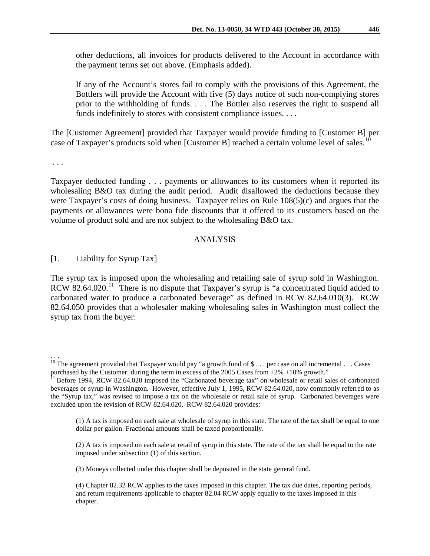other deductions, all invoices for products delivered to the Account in accordance with the payment terms set out above. (Emphasis added).

If any of the Account's stores fail to comply with the provisions of this Agreement, the Bottlers will provide the Account with five (5) days notice of such non-complying stores prior to the withholding of funds. . . . The Bottler also reserves the right to suspend all funds indefinitely to stores with consistent compliance issues. . . .

The [Customer Agreement] provided that Taxpayer would provide funding to [Customer B] per case of Taxpayer's products sold when [Customer B] reached a certain volume level of sales.<sup>1</sup>

. . .

Taxpayer deducted funding . . . payments or allowances to its customers when it reported its wholesaling B&O tax during the audit period. Audit disallowed the deductions because they were Taxpayer's costs of doing business. Taxpayer relies on Rule 108(5)(c) and argues that the payments or allowances were bona fide discounts that it offered to its customers based on the volume of product sold and are not subject to the wholesaling B&O tax.

#### ANALYSIS

[1. Liability for Syrup Tax]

The syrup tax is imposed upon the wholesaling and retailing sale of syrup sold in Washington.  $RCW$  82.64.020.<sup>11</sup> There is no dispute that Taxpayer's syrup is "a concentrated liquid added to carbonated water to produce a carbonated beverage" as defined in RCW 82.64.010(3). RCW 82.64.050 provides that a wholesaler making wholesaling sales in Washington must collect the syrup tax from the buyer:

 $\overline{a}$ 

(3) Moneys collected under this chapter shall be deposited in the state general fund.

<sup>. . .</sup>

<span id="page-3-0"></span><sup>&</sup>lt;sup>10</sup> The agreement provided that Taxpayer would pay "a growth fund of \$... per case on all incremental ... Cases purchased by the Customer during the term in excess of the 2005 Cases from  $+2\% +10\%$  growth."

<span id="page-3-1"></span><sup>&</sup>lt;sup>11</sup> Before 1994, RCW 82.64.020 imposed the "Carbonated beverage tax" on wholesale or retail sales of carbonated beverages or syrup in Washington. However, effective July 1, 1995, RCW 82.64.020, now commonly referred to as the "Syrup tax," was revised to impose a tax on the wholesale or retail sale of syrup. Carbonated beverages were excluded upon the revision of RCW 82.64.020. RCW 82.64.020 provides:

<sup>(1)</sup> A tax is imposed on each sale at wholesale of syrup in this state. The rate of the tax shall be equal to one dollar per gallon. Fractional amounts shall be taxed proportionally.

<sup>(2)</sup> A tax is imposed on each sale at retail of syrup in this state. The rate of the tax shall be equal to the rate imposed under subsection (1) of this section.

<sup>(4)</sup> Chapter [82.32](http://apps.leg.wa.gov/rcw/default.aspx?cite=82.32) RCW applies to the taxes imposed in this chapter. The tax due dates, reporting periods, and return requirements applicable to chapter [82.04](http://apps.leg.wa.gov/rcw/default.aspx?cite=82.04) RCW apply equally to the taxes imposed in this chapter.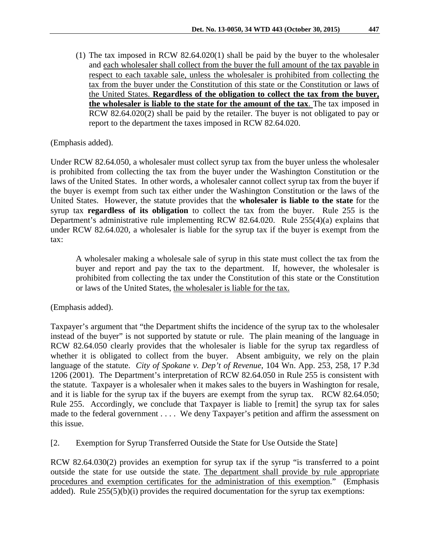(1) The tax imposed in RCW [82.64.020\(](http://apps.leg.wa.gov/rcw/default.aspx?cite=82.64.020)1) shall be paid by the buyer to the wholesaler and each wholesaler shall collect from the buyer the full amount of the tax payable in respect to each taxable sale, unless the wholesaler is prohibited from collecting the tax from the buyer under the Constitution of this state or the Constitution or laws of the United States. **Regardless of the obligation to collect the tax from the buyer, the wholesaler is liable to the state for the amount of the tax**. The tax imposed in RCW [82.64.020\(](http://apps.leg.wa.gov/rcw/default.aspx?cite=82.64.020)2) shall be paid by the retailer. The buyer is not obligated to pay or report to the department the taxes imposed in RCW [82.64.020.](http://apps.leg.wa.gov/rcw/default.aspx?cite=82.64.020)

# (Emphasis added).

Under RCW 82.64.050, a wholesaler must collect syrup tax from the buyer unless the wholesaler is prohibited from collecting the tax from the buyer under the Washington Constitution or the laws of the United States. In other words, a wholesaler cannot collect syrup tax from the buyer if the buyer is exempt from such tax either under the Washington Constitution or the laws of the United States. However, the statute provides that the **wholesaler is liable to the state** for the syrup tax **regardless of its obligation** to collect the tax from the buyer. Rule 255 is the Department's administrative rule implementing RCW 82.64.020. Rule 255(4)(a) explains that under RCW 82.64.020, a wholesaler is liable for the syrup tax if the buyer is exempt from the tax:

A wholesaler making a wholesale sale of syrup in this state must collect the tax from the buyer and report and pay the tax to the department. If, however, the wholesaler is prohibited from collecting the tax under the Constitution of this state or the Constitution or laws of the United States, the wholesaler is liable for the tax.

(Emphasis added).

Taxpayer's argument that "the Department shifts the incidence of the syrup tax to the wholesaler instead of the buyer" is not supported by statute or rule. The plain meaning of the language in RCW 82.64.050 clearly provides that the wholesaler is liable for the syrup tax regardless of whether it is obligated to collect from the buyer. Absent ambiguity, we rely on the plain language of the statute. *City of Spokane v. Dep't of Revenue*, 104 Wn. App. 253, 258, 17 P.3d 1206 (2001). The Department's interpretation of RCW 82.64.050 in Rule 255 is consistent with the statute. Taxpayer is a wholesaler when it makes sales to the buyers in Washington for resale, and it is liable for the syrup tax if the buyers are exempt from the syrup tax. RCW 82.64.050; Rule 255. Accordingly, we conclude that Taxpayer is liable to [remit] the syrup tax for sales made to the federal government . . . . We deny Taxpayer's petition and affirm the assessment on this issue.

[2. Exemption for Syrup Transferred Outside the State for Use Outside the State]

RCW 82.64.030(2) provides an exemption for syrup tax if the syrup "is transferred to a point outside the state for use outside the state. The department shall provide by rule appropriate procedures and exemption certificates for the administration of this exemption." (Emphasis added). Rule  $255(5)(b)(i)$  provides the required documentation for the syrup tax exemptions: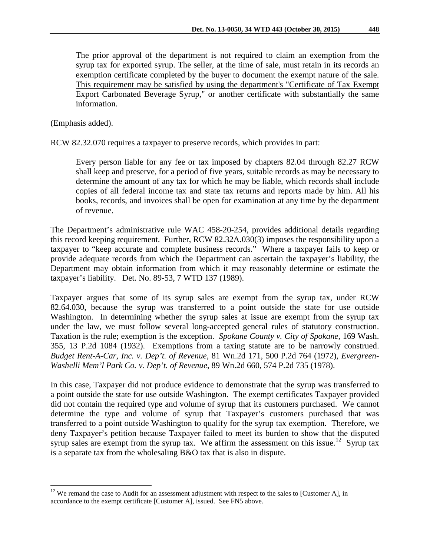The prior approval of the department is not required to claim an exemption from the syrup tax for exported syrup. The seller, at the time of sale, must retain in its records an exemption certificate completed by the buyer to document the exempt nature of the sale. This requirement may be satisfied by using the department's "Certificate of Tax Exempt Export Carbonated Beverage Syrup," or another certificate with substantially the same information.

(Emphasis added).

RCW 82.32.070 requires a taxpayer to preserve records, which provides in part:

Every person liable for any fee or tax imposed by chapters [82.04](http://apps.leg.wa.gov/RCW/default.aspx?cite=82.04) through [82.27](http://apps.leg.wa.gov/RCW/default.aspx?cite=82.27) RCW shall keep and preserve, for a period of five years, suitable records as may be necessary to determine the amount of any tax for which he may be liable, which records shall include copies of all federal income tax and state tax returns and reports made by him. All his books, records, and invoices shall be open for examination at any time by the department of revenue.

The Department's administrative rule WAC 458-20-254, provides additional details regarding this record keeping requirement. Further, RCW 82.32A.030(3) imposes the responsibility upon a taxpayer to "keep accurate and complete business records." Where a taxpayer fails to keep or provide adequate records from which the Department can ascertain the taxpayer's liability, the Department may obtain information from which it may reasonably determine or estimate the taxpayer's liability. Det. No. 89-53, 7 WTD 137 (1989).

Taxpayer argues that some of its syrup sales are exempt from the syrup tax, under RCW 82.64.030, because the syrup was transferred to a point outside the state for use outside Washington. In determining whether the syrup sales at issue are exempt from the syrup tax under the law, we must follow several long-accepted general rules of statutory construction. Taxation is the rule; exemption is the exception. *Spokane County v. City of Spokane*, 169 Wash. 355, 13 P.2d 1084 (1932). Exemptions from a taxing statute are to be narrowly construed. *Budget Rent-A-Car, Inc. v. Dep't. of Revenue,* 81 Wn.2d 171, 500 P.2d 764 (1972), *Evergreen-Washelli Mem'l Park Co. v. Dep't. of Revenue*, 89 Wn.2d 660, 574 P.2d 735 (1978).

In this case, Taxpayer did not produce evidence to demonstrate that the syrup was transferred to a point outside the state for use outside Washington. The exempt certificates Taxpayer provided did not contain the required type and volume of syrup that its customers purchased. We cannot determine the type and volume of syrup that Taxpayer's customers purchased that was transferred to a point outside Washington to qualify for the syrup tax exemption. Therefore, we deny Taxpayer's petition because Taxpayer failed to meet its burden to show that the disputed syrup sales are exempt from the syrup tax. We affirm the assessment on this issue.<sup>[12](#page-5-0)</sup> Syrup tax is a separate tax from the wholesaling B&O tax that is also in dispute.

<span id="page-5-0"></span><sup>&</sup>lt;sup>12</sup> We remand the case to Audit for an assessment adjustment with respect to the sales to [Customer A], in accordance to the exempt certificate [Customer A], issued. See FN5 above.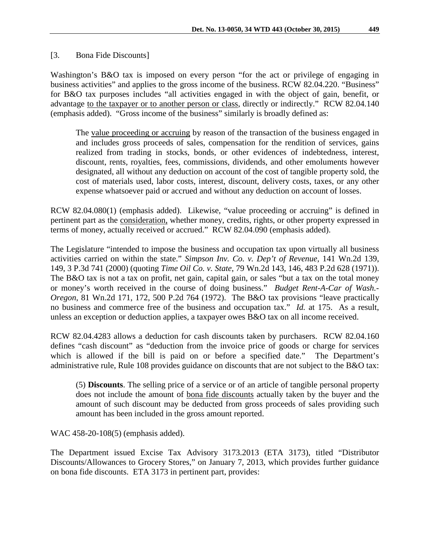## [3. Bona Fide Discounts]

Washington's B&O tax is imposed on every person "for the act or privilege of engaging in business activities" and applies to the gross income of the business. RCW 82.04.220. "Business" for B&O tax purposes includes "all activities engaged in with the object of gain, benefit, or advantage to the taxpayer or to another person or class, directly or indirectly." RCW 82.04.140 (emphasis added). "Gross income of the business" similarly is broadly defined as:

The value proceeding or accruing by reason of the transaction of the business engaged in and includes gross proceeds of sales, compensation for the rendition of services, gains realized from trading in stocks, bonds, or other evidences of indebtedness, interest, discount, rents, royalties, fees, commissions, dividends, and other emoluments however designated, all without any deduction on account of the cost of tangible property sold, the cost of materials used, labor costs, interest, discount, delivery costs, taxes, or any other expense whatsoever paid or accrued and without any deduction on account of losses.

RCW 82.04.080(1) (emphasis added). Likewise, "value proceeding or accruing" is defined in pertinent part as the consideration, whether money, credits, rights, or other property expressed in terms of money, actually received or accrued." RCW 82.04.090 (emphasis added).

The Legislature "intended to impose the business and occupation tax upon virtually all business activities carried on within the state." *Simpson Inv. Co. v. Dep't of Revenue,* 141 Wn.2d 139, 149, 3 P.3d 741 (2000) (quoting *Time Oil Co. v. State*, 79 Wn.2d 143, 146, 483 P.2d 628 (1971)). The B&O tax is not a tax on profit, net gain, capital gain, or sales "but a tax on the total money" or money's worth received in the course of doing business." *Budget Rent-A-Car of Wash.- Oregon*, 81 Wn.2d 171, 172, 500 P.2d 764 (1972). The B&O tax provisions "leave practically no business and commerce free of the business and occupation tax." *Id.* at 175. As a result, unless an exception or deduction applies, a taxpayer owes B&O tax on all income received.

RCW 82.04.4283 allows a deduction for cash discounts taken by purchasers. RCW 82.04.160 defines "cash discount" as "deduction from the invoice price of goods or charge for services which is allowed if the bill is paid on or before a specified date." The Department's administrative rule, Rule 108 provides guidance on discounts that are not subject to the B&O tax:

(5) **Discounts**. The selling price of a service or of an article of tangible personal property does not include the amount of bona fide discounts actually taken by the buyer and the amount of such discount may be deducted from gross proceeds of sales providing such amount has been included in the gross amount reported.

WAC 458-20-108(5) (emphasis added).

The Department issued Excise Tax Advisory 3173.2013 (ETA 3173), titled "Distributor Discounts/Allowances to Grocery Stores," on January 7, 2013, which provides further guidance on bona fide discounts. ETA 3173 in pertinent part, provides: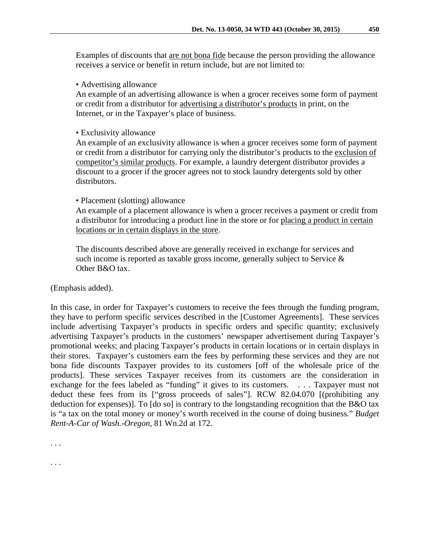Examples of discounts that are not bona fide because the person providing the allowance receives a service or benefit in return include, but are not limited to:

• Advertising allowance

An example of an advertising allowance is when a grocer receives some form of payment or credit from a distributor for advertising a distributor's products in print, on the Internet, or in the Taxpayer's place of business.

• Exclusivity allowance

An example of an exclusivity allowance is when a grocer receives some form of payment or credit from a distributor for carrying only the distributor's products to the exclusion of competitor's similar products. For example, a laundry detergent distributor provides a discount to a grocer if the grocer agrees not to stock laundry detergents sold by other distributors.

#### • Placement (slotting) allowance

An example of a placement allowance is when a grocer receives a payment or credit from a distributor for introducing a product line in the store or for placing a product in certain locations or in certain displays in the store.

The discounts described above are generally received in exchange for services and such income is reported as taxable gross income, generally subject to Service  $\&$ Other B&O tax.

(Emphasis added).

In this case, in order for Taxpayer's customers to receive the fees through the funding program, they have to perform specific services described in the [Customer Agreements]. These services include advertising Taxpayer's products in specific orders and specific quantity; exclusively advertising Taxpayer's products in the customers' newspaper advertisement during Taxpayer's promotional weeks; and placing Taxpayer's products in certain locations or in certain displays in their stores. Taxpayer's customers earn the fees by performing these services and they are not bona fide discounts Taxpayer provides to its customers [off of the wholesale price of the products]. These services Taxpayer receives from its customers are the consideration in exchange for the fees labeled as "funding" it gives to its customers. . . . Taxpayer must not deduct these fees from its ["gross proceeds of sales"]. RCW 82.04.070 [(prohibiting any deduction for expenses)]. To [do so] is contrary to the longstanding recognition that the B&O tax is "a tax on the total money or money's worth received in the course of doing business." *Budget Rent-A-Car of Wash.-Oregon,* 81 Wn.2d at 172.

. . .

. . .